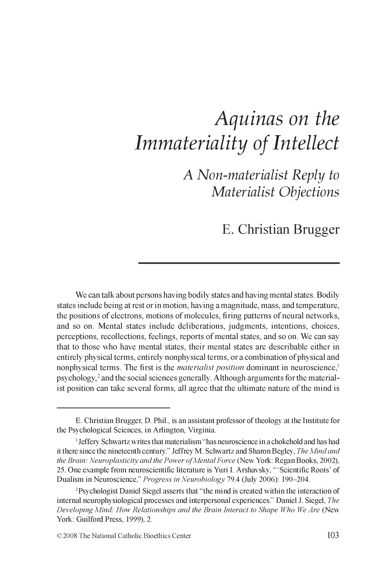# *Aquinas on the Immateriality of Intellect*

*A Non-materialist Reply to Materialist Objections*

E. Christian Brugger

We can talk about persons having bodily states and having mental states. Bodily states include being at rest or in motion, having a magnitude, mass, and temperature, the positions of electrons, motions of molecules, firing patterns of neural networks, and so on. Mental states include deliberations, judgments, intentions, choices, perceptions, recollections, feelings, reports of mental states, and so on. We can say that to those who have mental states, their mental states are describable either in entirely physical terms, entirely nonphysical terms, or a combination of physical and nonphysical terms. The first is the *materialist position* dominant in neuroscience,<sup>1</sup> psychology, $2$  and the social sciences generally. Although arguments for the materialist position can take several forms, all agree that the ultimate nature of the mind is

E. Christian Brugger, D. Phil., is an assistant professor of theology at the Institute for the Psychological Sciences, in Arlington, Virginia.

<sup>1</sup> Jeffery Schwartz writes that materialism "has neuroscience in a chokehold and has had it there since the nineteenth century." Jeffrey M. Schwartz and Sharon Begley, *The Mind and* the Brain: Neuroplasticity and the Power of Mental Force (New York: Regan Books, 2002), 25. One example from neuroscientific literature is Yuri I. Arshavsky, " 'Scientific Roots' of Dualism in Neuroscience," *Progress in Neurobiology* 79.4 (July 2006): 190-204.

<sup>2</sup> Psychologist Daniel Siegel asserts that "the mind is created within the interaction of internal neurophysiological processes and interpersonal experiences." Daniel J. Siegel, *The Developing Mind: How Relationships and the Brain Interact to Shape Who We Are* (New York: Guilford Press, 1999), 2.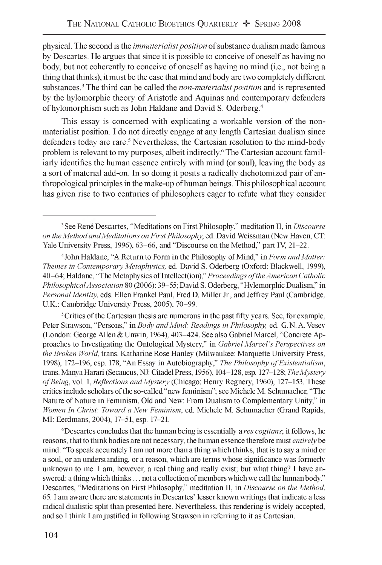physical. The second is the *immaterialist position* of substance dualism made famous by Descartes. He argues that since it is possible to conceive of oneself as having no body, but not coherently to conceive of oneself as having no mind (i.e., not being a thing that thinks), it must be the case that mind and body are two completely different substances.3 The third can be called the *non-materialist position* and is represented by the hylomorphic theory of Aristotle and Aquinas and contemporary defenders of hylomorphism such as John Haldane and David S. Oderberg.4

This essay is concerned with explicating a workable version of the nonmaterialist position. I do not directly engage at any length Cartesian dualism since defenders today are rare.<sup>5</sup> Nevertheless, the Cartesian resolution to the mind-body problem is relevant to my purposes, albeit indirectly.<sup>6</sup> The Cartesian account familiarly identifies the human essence entirely with mind (or soul), leaving the body as a sort of material add-on. In so doing it posits a radically dichotomized pair of anthropological principles in the make-up of human beings. This philosophical account has given rise to two centuries of philosophers eager to refute what they consider

<sup>5</sup> Critics of the Cartesian thesis are numerous in the past fifty years. See, for example, Peter Strawson, "Persons," in *Body and Mind: Readings in Philosophy,* ed. G. N. A. Vesey (London: George Allen & Unwin, 1964), 403-424. See also Gabriel Marcel, "Concrete Approaches to Investigating the Ontological Mystery," in *Gabriel Marcel's Perspectives on the Broken World,* trans. Katharine Rose Hanley (Milwaukee: Marquette University Press, 1998), 172-196, esp. 178; "An Essay in Autobiography," The Philosophy of Existentialism, trans. Manya Harari (Secaucus, NJ: Citadel Press, 1956), 104-128, esp. 127-128; *The Mystery o f Being,* vol. 1, *Reflections and Mystery* (Chicago: Henry Regnery, 1960), 127-153. These critics include scholars of the so-called "new feminism"; see Michele M. Schumacher, "The Nature of Nature in Feminism, Old and New: From Dualism to Complementary Unity," in *Women In Christ: Toward a New Feminism,* ed. Michele M. Schumacher (Grand Rapids, MI: Eerdmans, 2004), 17-51, esp. 17-21.

6 Descartes concludes that the human being is essentially a *res cogitans*; it follows, he reasons, that to think bodies are not necessary, the human essence therefore must *entirely* be mind: "To speak accurately I am not more than a thing which thinks, that is to say a mind or a soul, or an understanding, or a reason, which are terms whose significance was formerly unknown to me. I am, however, a real thing and really exist; but what thing? I have answered: a thing which thinks . . . not a collection of members which we call the human body." Descartes, "Meditations on First Philosophy," meditation II, in *Discourse on the Method*, 65. I am aware there are statements in Descartes' lesser known writings that indicate a less radical dualistic split than presented here. Nevertheless, this rendering is widely accepted, and so I think I am justified in following Strawson in referring to it as Cartesian.

<sup>3</sup> See Rene Descartes, "Meditations on First Philosophy," meditation II, in *Discourse on the Method and Meditations on First Philosophy*, ed. David Weissman (New Haven, CT: Yale University Press, 1996), 63-66, and "Discourse on the Method," part IV, 21-22.

<sup>4</sup> John Haldane, "A Return to Form in the Philosophy of Mind," in *Form and Matter: Themes in Contemporary Metaphysics,* ed. David S. Oderberg (Oxford: Blackwell, 1999), 40-64; Haldane, "The Metaphysics of Intellect(ion)," *Proceedings o f the American Catholic Philosophical Association* 80 (2006): 39-55; David S. Oderberg, "Hylemorphic Dualism," in *Personal Identity,* eds. Ellen Frankel Paul, Fred D. Miller Jr., and Jeffrey Paul (Cambridge, U.K.: Cambridge University Press, 2005), 70-99.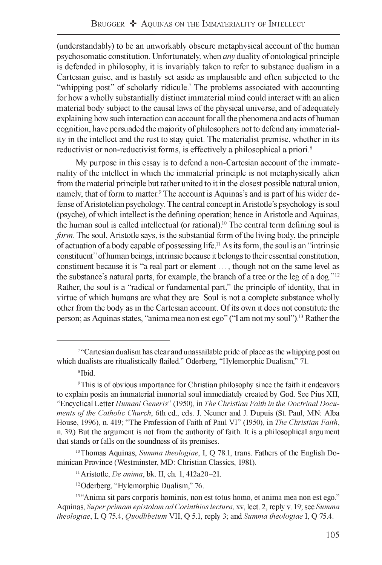(understandably) to be an unworkably obscure metaphysical account of the human psychosomatic constitution. Unfortunately, when *any* duality of ontological principle is defended in philosophy, it is invariably taken to refer to substance dualism in a Cartesian guise, and is hastily set aside as implausible and often subjected to the "whipping post" of scholarly ridicule.<sup>7</sup> The problems associated with accounting for how a wholly substantially distinct immaterial mind could interact with an alien material body subject to the causal laws of the physical universe, and of adequately explaining how such interaction can account for all the phenomena and acts of human cognition, have persuaded the majority of philosophers not to defend any immateriality in the intellect and the rest to stay quiet. The materialist premise, whether in its reductivist or non-reductivist forms, is effectively a philosophical a priori.<sup>8</sup>

My purpose in this essay is to defend a non-Cartesian account of the immateriality of the intellect in which the immaterial principle is not metaphysically alien from the material principle but rather united to it in the closest possible natural union, namely, that of form to matter.<sup>9</sup> The account is Aquinas's and is part of his wider defense of Aristotelian psychology. The central concept in Aristotle's psychology is soul (psyche), of which intellect is the defining operation; hence in Aristotle and Aquinas, the human soul is called intellectual (or rational).<sup>10</sup> The central term defining soul is *form.* The soul, Aristotle says, is the substantial form of the living body, the principle of actuation of a body capable of possessing life.11 As its form, the soul is an "intrinsic constituent" ofhuman beings, intrinsic because it belongs to their essential constitution, constituent because it is "a real part or element . . . , though not on the same level as the substance's natural parts, for example, the branch of a tree or the leg of a dog."12 Rather, the soul is a "radical or fundamental part," the principle of identity, that in virtue of which humans are what they are. Soul is not a complete substance wholly other from the body as in the Cartesian account. Of its own it does not constitute the person; as Aquinas states, "anima mea non est ego" ("I am not my soul").13 Rather the

<sup>&</sup>lt;sup>7"</sup>Cartesian dualism has clear and unassailable pride of place as the whipping post on which dualists are ritualistically flailed." Oderberg, "Hylemorphic Dualism," 71.

<sup>8</sup> Ibid.

<sup>9</sup> This is of obvious importance for Christian philosophy since the faith it endeavors to explain posits an immaterial immortal soul immediately created by God. See Pius XII, "Encyclical Letter *Humani Generis'"* (1950), in *The Christian Faith in the Doctrinal Documents of the Catholic Church*, 6th ed., eds. J. Neuner and J. Dupuis (St. Paul, MN: Alba House, 1996), n. 419; "The Profession of Faith of Paul VI" (1950), in *The Christian Faith,* n. 39.) But the argument is not from the authority of faith. It is a philosophical argument that stands or falls on the soundness of its premises.

<sup>&</sup>lt;sup>10</sup> Thomas Aquinas, *Summa theologiae*, I, Q 78.1, trans. Fathers of the English Dominican Province (Westminster, MD: Christian Classics, 1981).

<sup>11</sup> Aristotle, *De anima,* bk. II, ch. 1, 412a20-21.

<sup>12</sup> Oderberg, "Hylemorphic Dualism," 76.

<sup>&</sup>lt;sup>13"</sup>Anima sit pars corporis hominis, non est totus homo, et anima mea non est ego." Aquinas, *Superprimam epistolam ad Corinthios lectura,* xv, lect. 2, reply v. 19; see *Summa theologiae,* I, Q 75.4, *Quodlibetum* VII, Q 5.1, reply 3; and *Summa theologiae* I, Q 75.4.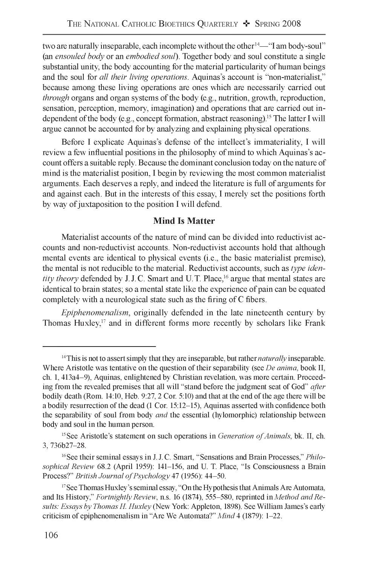two are naturally inseparable, each incomplete without the other<sup>14—"</sup>I am body-soul" (an *ensouled body* or an *embodied soul).* Together body and soul constitute a single substantial unity, the body accounting for the material particularity of human beings and the soul for *all their living operations.* Aquinas's account is "non-materialist," because among these living operations are ones which are necessarily carried out *through* organs and organ systems of the body (e.g., nutrition, growth, reproduction, sensation, perception, memory, imagination) and operations that are carried out independent of the body (e.g., concept formation, abstract reasoning).15 The latter I will argue cannot be accounted for by analyzing and explaining physical operations.

Before I explicate Aquinas's defense of the intellect's immateriality, I will review a few influential positions in the philosophy of mind to which Aquinas's account offers a suitable reply. Because the dominant conclusion today on the nature of mind is the materialist position, I begin by reviewing the most common materialist arguments. Each deserves a reply, and indeed the literature is full of arguments for and against each. But in the interests of this essay, I merely set the positions forth by way of juxtaposition to the position I will defend.

#### **Mind Is Matter**

Materialist accounts of the nature of mind can be divided into reductivist accounts and non-reductivist accounts. Non-reductivist accounts hold that although mental events are identical to physical events (i.e., the basic materialist premise), the mental is not reducible to the material. Reductivist accounts, such as *type identity theory* defended by J.J.C. Smart and U.T. Place,<sup>16</sup> argue that mental states are identical to brain states; so a mental state like the experience of pain can be equated completely with a neurological state such as the firing of C fibers.

*Epiphenomenalism,* originally defended in the late nineteenth century by Thomas  $Huxley<sub>i</sub><sup>17</sup>$  and in different forms more recently by scholars like Frank

<sup>&</sup>lt;sup>14</sup> This is not to assert simply that they are inseparable, but rather *naturally* inseparable. Where Aristotle was tentative on the question of their separability (see *De anima,* book II, ch. 1, 413a4-9), Aquinas, enlightened by Christian revelation, was more certain. Proceeding from the revealed premises that all will "stand before the judgment seat of God" *after* bodily death (Rom. 14:10, Heb. 9:27, 2 Cor. 5:10) and that at the end of the age there will be a bodily resurrection of the dead (1 Cor. 15:12-15), Aquinas asserted with confidence both the separability of soul from body *and* the essential (hylomorphic) relationship between body and soul in the human person.

<sup>&</sup>lt;sup>15</sup> See Aristotle's statement on such operations in *Generation of Animals*, bk. II, ch. 3, 736b27-28.

<sup>16</sup> See their seminal essays in J. J. C. Smart, "Sensations and Brain Processes," *Philosophical Review* 68.2 (April 1959): 141-156, and U. T. Place, "Is Consciousness a Brain Process?" *British Journal of Psychology* 47 (1956): 44-50.

<sup>&</sup>lt;sup>17</sup> See Thomas Huxley's seminal essay, "On the Hypothesis that Animals Are Automata, and Its History," *Fortnightly Review,* n.s. 16 (1874), 555-580, reprinted in *Method and Results: Essays by Thomas H. Huxley* (New York: Appleton, 1898). See William James's early criticism of epiphenomenalism in "Are We Automata?" *Mind* 4 (1879): 1-22.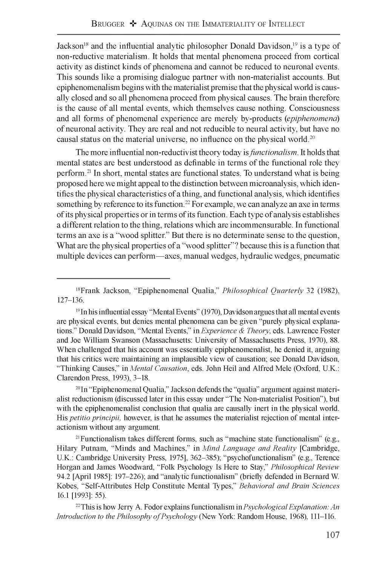Jackson<sup>18</sup> and the influential analytic philosopher Donald Davidson,<sup>19</sup> is a type of non-reductive materialism. It holds that mental phenomena proceed from cortical activity as distinct kinds of phenomena and cannot be reduced to neuronal events. This sounds like a promising dialogue partner with non-materialist accounts. But epiphenomenalism begins with the materialist premise that the physical world is causally closed and so all phenomena proceed from physical causes. The brain therefore is the cause of all mental events, which themselves cause nothing. Consciousness and all forms of phenomenal experience are merely by-products *(epiphenomena)* of neuronal activity. They are real and not reducible to neural activity, but have no causal status on the material universe, no influence on the physical world.20

The more influential non-reductivist theory today is *functionalism.* It holds that mental states are best understood as definable in terms of the functional role they perform.21 In short, mental states are functional states. To understand what is being proposed here we might appeal to the distinction between microanalysis, which identifies the physical characteristics of a thing, and functional analysis, which identifies something by reference to its function.<sup>22</sup> For example, we can analyze an axe in terms of its physical properties or in terms of its function. Each type of analysis establishes a different relation to the thing, relations which are incommensurable. In functional terms an axe is a "wood splitter." But there is no determinate sense to the question, What are the physical properties of a "wood splitter"? because this is a function that multiple devices can perform—axes, manual wedges, hydraulic wedges, pneumatic

20 In "Epiphenomenal Qualia," Jackson defends the "qualia" argument against materialist reductionism (discussed later in this essay under "The Non-materialist Position"), but with the epiphenomenalist conclusion that qualia are causally inert in the physical world. His *petitio principii,* however, is that he assumes the materialist rejection of mental interactionism without any argument.

21 Functionalism takes different forms, such as "machine state functionalism" (e.g., Hilary Putnam, "Minds and Machines," in *Mind Language and Reality* [Cambridge, U.K.: Cambridge University Press, 1975], 362-385); "psychofunctionalism" (e.g., Terence Horgan and James Woodward, "Folk Psychology Is Here to Stay," *Philosophical Review* 94.2 [April 1985]: 197-226); and "analytic functionalism" (briefly defended in Bernard W. Kobes, "Self-Attributes Help Constitute Mental Types," *Behavioral and Brain Sciences* 16.1 [1993]: 55).

22 This is how Jerry A. Fodor explains functionalism in *Psychological Explanation: An Introduction to the Philosophy of Psychology* (New York: Random House, 1968), 111-116.

<sup>18</sup> Frank Jackson, "Epiphenomenal Qualia," *Philosophical Quarterly* 32 (1982), 127-136.

<sup>19</sup> In his influential essay "Mental Events" (1970), Davidson argues that all mental events are physical events, but denies mental phenomena can be given "purely physical explanations." Donald Davidson, "Mental Events," in *Experience & Theory,* eds. Lawrence Foster and Joe William Swanson (Massachusetts: University of Massachusetts Press, 1970), 88. When challenged that his account was essentially epiphenomenalist, he denied it, arguing that his critics were maintaining an implausible view of causation; see Donald Davidson, "Thinking Causes," in *Mental Causation,* eds. John Heil and Alfred Mele (Oxford, U.K.: Clarendon Press, 1993), 3-18.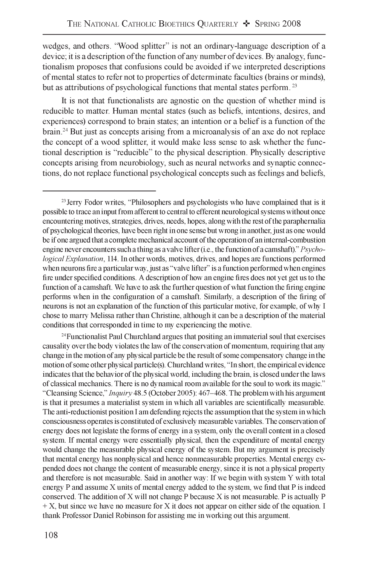wedges, and others. "Wood splitter" is not an ordinary-language description of a device; it is a description of the function of any number of devices. By analogy, functionalism proposes that confusions could be avoided if we interpreted descriptions of mental states to refer not to properties of determinate faculties (brains or minds), but as attributions of psychological functions that mental states perform.<sup>23</sup>

It is not that functionalists are agnostic on the question of whether mind is reducible to matter. Human mental states (such as beliefs, intentions, desires, and experiences) correspond to brain states; an intention or a belief is a function of the brain.24 But just as concepts arising from a microanalysis of an axe do not replace the concept of a wood splitter, it would make less sense to ask whether the functional description is "reducible" to the physical description. Physically descriptive concepts arising from neurobiology, such as neural networks and synaptic connections, do not replace functional psychological concepts such as feelings and beliefs,

<sup>24</sup> Functionalist Paul Churchland argues that positing an immaterial soul that exercises causality over the body violates the law of the conservation of momentum, requiring that any change in the motion of any physical particle be the result of some compensatory change in the motion of some other physical particle(s). Churchland writes, "In short, the empirical evidence indicates that the behavior of the physical world, including the brain, is closed under the laws of classical mechanics. There is no dynamical room available for the soul to work its magic." "Cleansing Science," *Inquiry* 48.5 (October 2005): 467-468. The problem with his argument is that it presumes a materialist system in which all variables are scientifically measurable. The anti-reductionist position I am defending rejects the assumption that the system in which consciousness operates is constituted of exclusively measurable variables. The conservation of energy does not legislate the forms of energy in a system, only the overall content in a closed system. If mental energy were essentially physical, then the expenditure of mental energy would change the measurable physical energy of the system. But my argument is precisely that mental energy has nonphysical and hence nonmeasurable properties. Mental energy expended does not change the content of measurable energy, since it is not a physical property and therefore is not measurable. Said in another way: If we begin with system Y with total energy P and assume X units of mental energy added to the system, we find that P is indeed conserved. The addition of X will not change P because X is not measurable. P is actually P  $+ X$ , but since we have no measure for X it does not appear on either side of the equation. I thank Professor Daniel Robinson for assisting me in working out this argument.

<sup>&</sup>lt;sup>23</sup> Jerry Fodor writes, "Philosophers and psychologists who have complained that is it possible to trace an input from afferent to central to efferent neurological systems without once encountering motives, strategies, drives, needs, hopes, along with the rest of the paraphernalia of psychological theories, have been right in one sense but wrong in another, just as one would be if one argued that a complete mechanical account of the operation of an internal-combustion engine never encounters such a thing as a valve lifter (i.e., the function of a camshaft)." *Psychological Explanation,* 114. In other words, motives, drives, and hopes are functions performed when neurons fire a particular way, just as "valve lifter" is a function performed when engines fire under specified conditions. A description of how an engine fires does not yet get us to the function of a camshaft. We have to ask the further question of what function the firing engine performs when in the configuration of a camshaft. Similarly, a description of the firing of neurons is not an explanation of the function of this particular motive, for example, of why I chose to marry Melissa rather than Christine, although it can be a description of the material conditions that corresponded in time to my experiencing the motive.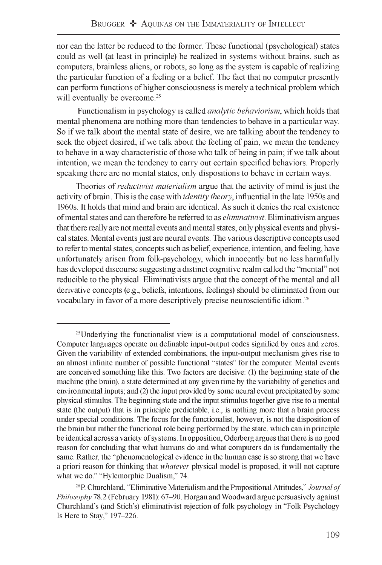nor can the latter be reduced to the former. These functional (psychological) states could as well (at least in principle) be realized in systems without brains, such as computers, brainless aliens, or robots, so long as the system is capable of realizing the particular function of a feeling or a belief. The fact that no computer presently can perform functions of higher consciousness is merely a technical problem which will eventually be overcome.<sup>25</sup>

Functionalism in psychology is called *analytic behaviorism,* which holds that mental phenomena are nothing more than tendencies to behave in a particular way. So if we talk about the mental state of desire, we are talking about the tendency to seek the object desired; if we talk about the feeling of pain, we mean the tendency to behave in a way characteristic of those who talk of being in pain; if we talk about intention, we mean the tendency to carry out certain specified behaviors. Properly speaking there are no mental states, only dispositions to behave in certain ways.

Theories of *reductivist materialism* argue that the activity of mind is just the activity of brain. This is the case with *identity theory,* influential in the late 1950s and 1960s. It holds that mind and brain are identical. As such it denies the real existence of mental states and can therefore be referred to as *eliminativist*. Eliminativism argues that there really are not mental events and mental states, only physical events and physical states. Mental events just are neural events. The various descriptive concepts used to refer to mental states, concepts such as belief, experience, intention, and feeling, have unfortunately arisen from folk-psychology, which innocently but no less harmfully has developed discourse suggesting a distinct cognitive realm called the "mental" not reducible to the physical. Eliminativists argue that the concept of the mental and all derivative concepts (e.g., beliefs, intentions, feelings) should be eliminated from our vocabulary in favor of a more descriptively precise neuroscientific idiom.26

<sup>&</sup>lt;sup>25</sup> Underlying the functionalist view is a computational model of consciousness. Computer languages operate on definable input-output codes signified by ones and zeros. Given the variability of extended combinations, the input-output mechanism gives rise to an almost infinite number of possible functional "states" for the computer. Mental events are conceived something like this. Two factors are decisive: (1) the beginning state of the machine (the brain), a state determined at any given time by the variability of genetics and environmental inputs; and (2) the input provided by some neural event precipitated by some physical stimulus. The beginning state and the input stimulus together give rise to a mental state (the output) that is in principle predictable, i.e., is nothing more that a brain process under special conditions. The focus for the functionalist, however, is not the disposition of the brain but rather the functional role being performed by the state, which can in principle be identical across a variety of systems. In opposition, Oderberg argues that there is no good reason for concluding that what humans do and what computers do is fundamentally the same. Rather, the "phenomenological evidence in the human case is so strong that we have a priori reason for thinking that *whatever* physical model is proposed, it will not capture what we do." "Hylemorphic Dualism," 74.

<sup>&</sup>lt;sup>26</sup> P. Churchland, "Eliminative Materialism and the Propositional Attitudes," *Journal of Philosophy* 78.2 (February 1981): 67-90. Horgan and Woodward argue persuasively against Churchland's (and Stich's) eliminativist rejection of folk psychology in "Folk Psychology Is Here to Stay," 197-226.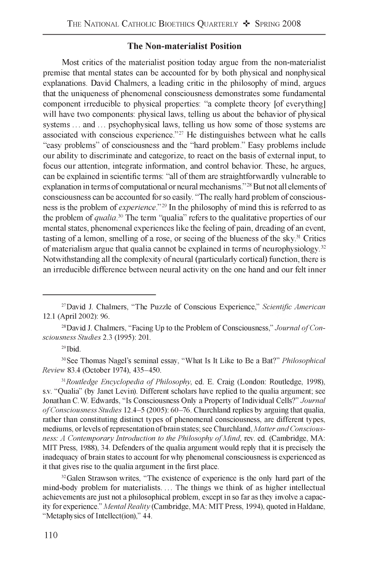#### **The Non-materialist Position**

Most critics of the materialist position today argue from the non-materialist premise that mental states can be accounted for by both physical and nonphysical explanations. David Chalmers, a leading critic in the philosophy of mind, argues that the uniqueness of phenomenal consciousness demonstrates some fundamental component irreducible to physical properties: "a complete theory [of everything] will have two components: physical laws, telling us about the behavior of physical systems ... and ... psychophysical laws, telling us how some of those systems are associated with conscious experience."27 He distinguishes between what he calls "easy problems" of consciousness and the "hard problem." Easy problems include our ability to discriminate and categorize, to react on the basis of external input, to focus our attention, integrate information, and control behavior. These, he argues, can be explained in scientific terms: "all of them are straightforwardly vulnerable to explanation in terms of computational or neural mechanisms."28 But not all elements of consciousness can be accounted for so easily. "The really hard problem of consciousness is the problem of *experience"29* In the philosophy of mind this is referred to as the problem of *qualia30* The term "qualia" refers to the qualitative properties of our mental states, phenomenal experiences like the feeling of pain, dreading of an event, tasting of a lemon, smelling of a rose, or seeing of the blueness of the sky. $31$  Critics of materialism argue that qualia cannot be explained in terms of neurophysiology.32 Notwithstanding all the complexity of neural (particularly cortical) function, there is an irreducible difference between neural activity on the one hand and our felt inner

29 Ibid.

30 See Thomas Nagel's seminal essay, "What Is It Like to Be a Bat?" *Philosophical Review* 83.4 (October 1974), 435-450.

<sup>31</sup> Routledge Encyclopedia of Philosophy, ed. E. Craig (London: Routledge, 1998), s.v. "Qualia" (by Janet Levin). Different scholars have replied to the qualia argument; see Jonathan C. W. Edwards, "Is Consciousness Only a Property of Individual Cells?" *Journal o f Consciousness Studies* 12.4-5 (2005): 60-76. Churchland replies by arguing that qualia, rather than constituting distinct types of phenomenal consciousness, are different types, mediums, or levels of representation of brain states; see Churchland, *Matter and Consciousness: A Contemporary Introduction to the Philosophy of Mind*, rev. ed. (Cambridge, MA: MIT Press, 1988), 34. Defenders of the qualia argument would reply that it is precisely the inadequacy of brain states to account for why phenomenal consciousness is experienced as it that gives rise to the qualia argument in the first place.

<sup>32</sup> Galen Strawson writes, "The existence of experience is the only hard part of the mind-body problem for materialists. . . . The things we think of as higher intellectual achievements are just not a philosophical problem, except in so far as they involve a capacity for experience." *Mental Reality* (Cambridge, MA: MIT Press, 1994), quoted in Haldane, "Metaphysics of Intellect(ion)," 44.

<sup>27</sup> David J. Chalmers, "The Puzzle of Conscious Experience," *Scientific American* 12.1 (April 2002): 96.

<sup>&</sup>lt;sup>28</sup> David J. Chalmers, "Facing Up to the Problem of Consciousness," Journal of Con*sciousness Studies* 2.3 (1995): 201.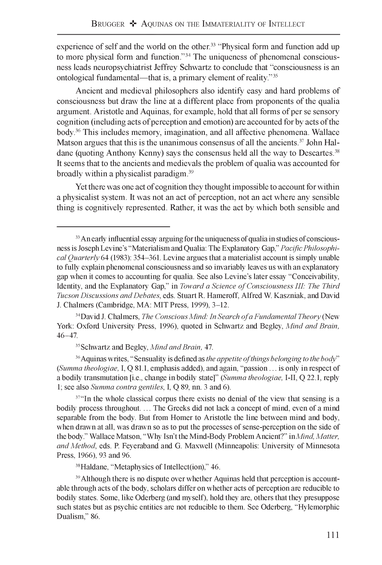experience of self and the world on the other.<sup>33</sup> "Physical form and function add up to more physical form and function."34 The uniqueness of phenomenal consciousness leads neuropsychiatrist Jeffrey Schwartz to conclude that "consciousness is an ontological fundamental—that is, a primary element of reality."35

Ancient and medieval philosophers also identify easy and hard problems of consciousness but draw the line at a different place from proponents of the qualia argument. Aristotle and Aquinas, for example, hold that all forms of per se sensory cognition (including acts of perception and emotion) are accounted for by acts of the body.36 This includes memory, imagination, and all affective phenomena. Wallace Matson argues that this is the unanimous consensus of all the ancients.<sup>37</sup> John Haldane (quoting Anthony Kenny) says the consensus held all the way to Descartes.<sup>38</sup> It seems that to the ancients and medievals the problem of qualia was accounted for broadly within a physicalist paradigm.39

Yet there was one act of cognition they thought impossible to account for within a physicalist system. It was not an act of perception, not an act where any sensible thing is cognitively represented. Rather, it was the act by which both sensible and

<sup>36</sup> Aquinas writes, "Sensuality is defined as *the appetite of things belonging to the body*" *(Summa theologiae,* I, Q 81.1, emphasis added), and again, "passion . . . is only in respect of a bodily transmutation [i.e., change in bodily state]" *(Summa theologiae,* I-II, Q 22.1, reply 1; see also *Summa contra gentiles,* I, Q 89, nn. 3 and 6).

<sup>37"</sup>In the whole classical corpus there exists no denial of the view that sensing is a bodily process throughout. ... The Greeks did not lack a concept of mind, even of a mind separable from the body. But from Homer to Aristotle the line between mind and body, when drawn at all, was drawn so as to put the processes of sense-perception on the side of the body." Wallace Matson, "Why Isn't the Mind-Body Problem Ancient?" in *Mind, Matter, and Method,* eds. P. Feyeraband and G. Maxwell (Minneapolis: University of Minnesota Press, 1966), 93 and 96.

38 Haldane, "Metaphysics of Intellect(ion)," 46.

<sup>39</sup> Although there is no dispute over whether Aquinas held that perception is accountable through acts of the body, scholars differ on whether acts of perception are reducible to bodily states. Some, like Oderberg (and myself), hold they are, others that they presuppose such states but as psychic entities are not reducible to them. See Oderberg, "Hylemorphic Dualism," 86.

<sup>&</sup>lt;sup>33</sup> An early influential essay arguing for the uniqueness of qualia in studies of consciousness is Joseph Levine's "Materialism and Qualia: The Explanatory Gap," *Pacific Philosophical Quarterly* 64 (1983): 354-361. Levine argues that a materialist account is simply unable to fully explain phenomenal consciousness and so invariably leaves us with an explanatory gap when it comes to accounting for qualia. See also Levine's later essay "Conceivability, Identity, and the Explanatory Gap," in *Toward a Science of Consciousness III: The Third Tucson Discussions and Debates,* eds. Stuart R. Hameroff, Alfred W. Kaszniak, and David J. Chalmers (Cambridge, MA: MIT Press, 1999), 3-12.

<sup>&</sup>lt;sup>34</sup> David J. Chalmers, *The Conscious Mind: In Search of a Fundamental Theory* (New York: Oxford University Press, 1996), quoted in Schwartz and Begley, *Mind and Brain,* 46-47.

<sup>35</sup> Schwartz and Begley, *Mind and Brain,* 47.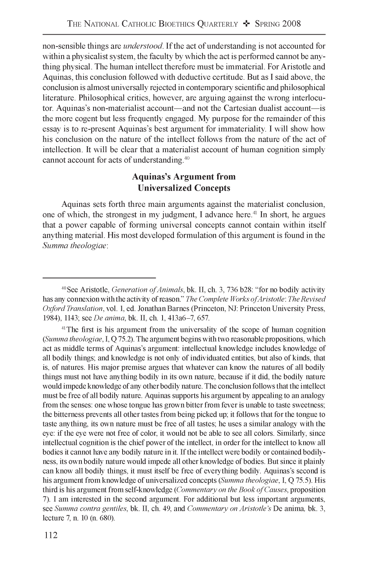non-sensible things are *understood.* If the act of understanding is not accounted for within a physicalist system, the faculty by which the act is performed cannot be anything physical. The human intellect therefore must be immaterial. For Aristotle and Aquinas, this conclusion followed with deductive certitude. But as I said above, the conclusion is almost universally rejected in contemporary scientific and philosophical literature. Philosophical critics, however, are arguing against the wrong interlocutor. Aquinas's non-materialist account—and not the Cartesian dualist account—is the more cogent but less frequently engaged. My purpose for the remainder of this essay is to re-present Aquinas's best argument for immateriality. I will show how his conclusion on the nature of the intellect follows from the nature of the act of intellection. It will be clear that a materialist account of human cognition simply cannot account for acts of understanding.40

### **Aquinas's Argument from Universalized Concepts**

Aquinas sets forth three main arguments against the materialist conclusion, one of which, the strongest in my judgment, I advance here.<sup>41</sup> In short, he argues that a power capable of forming universal concepts cannot contain within itself anything material. His most developed formulation of this argument is found in the *Summa theologiae*:

<sup>&</sup>lt;sup>40</sup> See Aristotle, *Generation of Animals*, bk. II, ch. 3, 736 b28: "for no bodily activity has any connexion with the activity of reason." *The Complete Works ofAristotle: The Revised Oxford Translation,* vol. 1, ed. Jonathan Barnes (Princeton, NJ: Princeton University Press, 1984), 1143; see *De anima,* bk. II, ch. 1, 413a6-7, 657.

<sup>41</sup> The first is his argument from the universality of the scope of human cognition *(Summa theologiae,* I, Q 75.2). The argument begins with two reasonable propositions, which act as middle terms of Aquinas's argument: intellectual knowledge includes knowledge of all bodily things; and knowledge is not only of individuated entities, but also of kinds, that is, of natures. His major premise argues that whatever can know the natures of all bodily things must not have anything bodily in its own nature, because if it did, the bodily nature would impede knowledge of any other bodily nature. The conclusion follows that the intellect must be free of all bodily nature. Aquinas supports his argument by appealing to an analogy from the senses: one whose tongue has grown bitter from fever is unable to taste sweetness; the bitterness prevents all other tastes from being picked up; it follows that for the tongue to taste anything, its own nature must be free of all tastes; he uses a similar analogy with the eye: if the eye were not free of color, it would not be able to see all colors. Similarly, since intellectual cognition is the chief power of the intellect, in order for the intellect to know all bodies it cannot have any bodily nature in it. If the intellect were bodily or contained bodilyness, its own bodily nature would impede all other knowledge of bodies. But since it plainly can know all bodily things, it must itself be free of everything bodily. Aquinas's second is his argument from knowledge of universalized concepts *(Summa theologiae,* I, Q 75.5). His third is his argument from self-knowledge *(Commentary on the Book of Causes*, proposition 7). I am interested in the second argument. For additional but less important arguments, see *Summa contra gentiles,* bk. II, ch. 49, and *Commentary on Aristotle's* De anima, bk. 3, lecture 7, n. 10 (n. 680).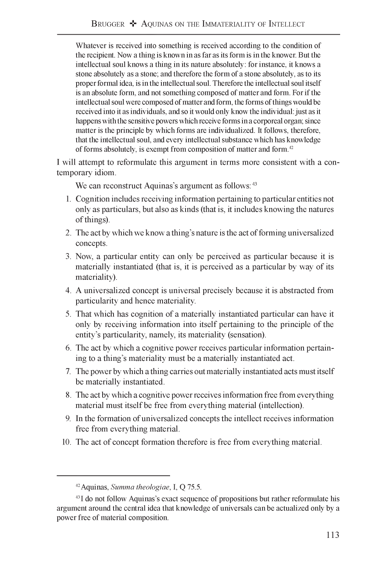Whatever is received into something is received according to the condition of the recipient. Now a thing is known in as far as its form is in the knower. But the intellectual soul knows a thing in its nature absolutely: for instance, it knows a stone absolutely as a stone; and therefore the form of a stone absolutely, as to its proper formal idea, is in the intellectual soul. Therefore the intellectual soul itself is an absolute form, and not something composed of matter and form. For if the intellectual soul were composed of matter and form, the forms of things would be received into it as individuals, and so it would only know the individual: just as it happens with the sensitive powers which receive forms in a corporeal organ; since matter is the principle by which forms are individualized. It follows, therefore, that the intellectual soul, and every intellectual substance which has knowledge of forms absolutely, is exempt from composition of matter and form.42

I will attempt to reformulate this argument in terms more consistent with a contemporary idiom.

We can reconstruct Aquinas's argument as follows:  $43$ 

- 1. Cognition includes receiving information pertaining to particular entities not only as particulars, but also as kinds (that is, it includes knowing the natures of things).
- 2. The act by which we know a thing's nature is the act of forming universalized concepts.
- 3. Now, a particular entity can only be perceived as particular because it is materially instantiated (that is, it is perceived as a particular by way of its materiality).
- 4. A universalized concept is universal precisely because it is abstracted from particularity and hence materiality.
- 5. That which has cognition of a materially instantiated particular can have it only by receiving information into itself pertaining to the principle of the entity's particularity, namely, its materiality (sensation).
- 6. The act by which a cognitive power receives particular information pertaining to a thing's materiality must be a materially instantiated act.
- 7. The power by which a thing carries out materially instantiated acts must itself be materially instantiated.
- 8. The act by which a cognitive power receives information free from everything material must itself be free from everything material (intellection).
- 9. In the formation of universalized concepts the intellect receives information free from everything material.
- 10. The act of concept formation therefore is free from everything material.

<sup>42</sup> Aquinas, *Summa theologiae,* I, Q 75.5.

<sup>43</sup> I do not follow Aquinas's exact sequence of propositions but rather reformulate his argument around the central idea that knowledge of universals can be actualized only by a power free of material composition.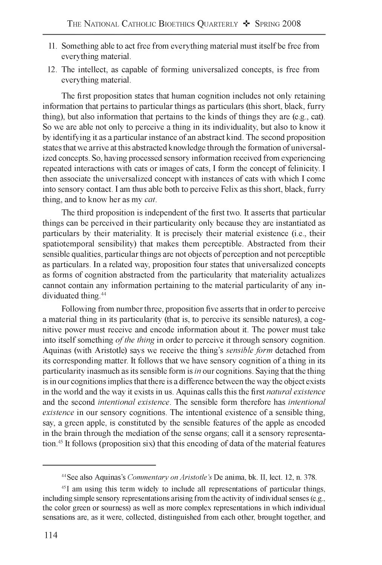- 11. Something able to act free from everything material must itself be free from everything material.
- 12. The intellect, as capable of forming universalized concepts, is free from everything material.

The first proposition states that human cognition includes not only retaining information that pertains to particular things as particulars (this short, black, furry thing), but also information that pertains to the kinds of things they are (e.g., cat). So we are able not only to perceive a thing in its individuality, but also to know it by identifying it as a particular instance of an abstract kind. The second proposition states that we arrive at this abstracted knowledge through the formation of universalized concepts. So, having processed sensory information received from experiencing repeated interactions with cats or images of cats, I form the concept of felinicity. I then associate the universalized concept with instances of cats with which I come into sensory contact. I am thus able both to perceive Felix as this short, black, furry thing, and to know her as my *cat.*

The third proposition is independent of the first two. It asserts that particular things can be perceived in their particularity only because they are instantiated as particulars by their materiality. It is precisely their material existence (i.e., their spatiotemporal sensibility) that makes them perceptible. Abstracted from their sensible qualities, particular things are not objects of perception and not perceptible as particulars. In a related way, proposition four states that universalized concepts as forms of cognition abstracted from the particularity that materiality actualizes cannot contain any information pertaining to the material particularity of any individuated thing.<sup>44</sup>

Following from number three, proposition five asserts that in order to perceive a material thing in its particularity (that is, to perceive its sensible natures), a cognitive power must receive and encode information about it. The power must take into itself something *of the thing* in order to perceive it through sensory cognition. Aquinas (with Aristotle) says we receive the thing's *sensible form* detached from its corresponding matter. It follows that we have sensory cognition of a thing in its particularity inasmuch as its sensible form is *in* our cognitions. Saying that the thing is in our cognitions implies that there is a difference between the way the object exists in the world and the way it exists in us. Aquinas calls this the first *natural existence* and the second *intentional existence.* The sensible form therefore has *intentional existence* in our sensory cognitions. The intentional existence of a sensible thing, say, a green apple, is constituted by the sensible features of the apple as encoded in the brain through the mediation of the sense organs; call it a sensory representation.45 It follows (proposition six) that this encoding of data of the material features

<sup>44</sup> See also Aquinas's *Commentary on Aristotle's* De anima, bk. II, lect. 12, n. 378.

 $45$ I am using this term widely to include all representations of particular things, including simple sensory representations arising from the activity of individual senses (e.g., the color green or sourness) as well as more complex representations in which individual sensations are, as it were, collected, distinguished from each other, brought together, and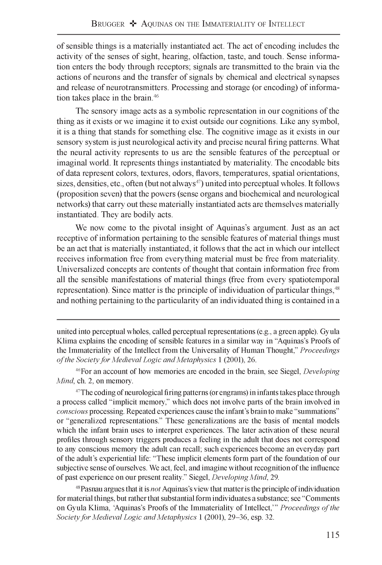of sensible things is a materially instantiated act. The act of encoding includes the activity of the senses of sight, hearing, olfaction, taste, and touch. Sense information enters the body through receptors; signals are transmitted to the brain via the actions of neurons and the transfer of signals by chemical and electrical synapses and release of neurotransmitters. Processing and storage (or encoding) of information takes place in the brain.<sup>46</sup>

The sensory image acts as a symbolic representation in our cognitions of the thing as it exists or we imagine it to exist outside our cognitions. Like any symbol, it is a thing that stands for something else. The cognitive image as it exists in our sensory system is just neurological activity and precise neural firing patterns. What the neural activity represents to us are the sensible features of the perceptual or imaginal world. It represents things instantiated by materiality. The encodable bits of data represent colors, textures, odors, flavors, temperatures, spatial orientations, sizes, densities, etc., often (but not always $47$ ) united into perceptual wholes. It follows (proposition seven) that the powers (sense organs and biochemical and neurological networks) that carry out these materially instantiated acts are themselves materially instantiated. They are bodily acts.

We now come to the pivotal insight of Aquinas's argument. Just as an act receptive of information pertaining to the sensible features of material things must be an act that is materially instantiated, it follows that the act in which our intellect receives information free from everything material must be free from materiality. Universalized concepts are contents of thought that contain information free from all the sensible manifestations of material things (free from every spatiotemporal representation). Since matter is the principle of individuation of particular things,<sup>48</sup> and nothing pertaining to the particularity of an individuated thing is contained in a

united into perceptual wholes, called perceptual representations (e.g., a green apple). Gyula Klima explains the encoding of sensible features in a similar way in "Aquinas's Proofs of the Immateriality of the Intellect from the Universality of Human Thought," *Proceedings o f the Society for Medieval Logic and Metaphysics* 1 (2001), 26.

46 For an account of how memories are encoded in the brain, see Siegel, *Developing Mind,* ch. 2, on memory.

<sup>47</sup> The coding of neurological firing patterns (or engrams) in infants takes place through a process called "implicit memory," which does not involve parts of the brain involved in *conscious* processing. Repeated experiences cause the infant's brain to make "summations" or "generalized representations." These generalizations are the basis of mental models which the infant brain uses to interpret experiences. The later activation of these neural profiles through sensory triggers produces a feeling in the adult that does not correspond to any conscious memory the adult can recall; such experiences become an everyday part of the adult's experiential life: "These implicit elements form part of the foundation of our subjective sense of ourselves. We act, feel, and imagine without recognition of the influence of past experience on our present reality." Siegel, *Developing Mind*, 29.

48 Pasnau argues that it is *not* Aquinas's view that matter is the principle of individuation for material things, but rather that substantial form individuates a substance; see "Comments on Gyula Klima, 'Aquinas's Proofs of the Immateriality of Intellect,'" *Proceedings of the Society for Medieval Logic and Metaphysics* 1 (2001), 29-36, esp. 32.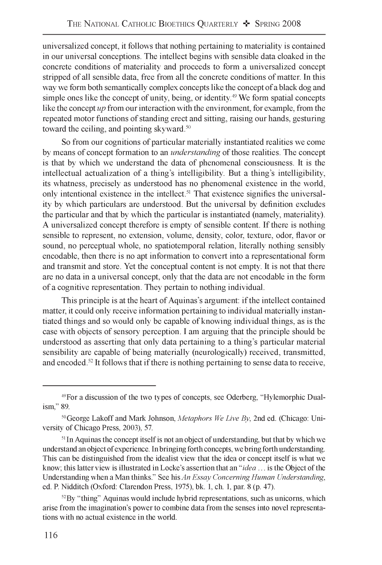universalized concept, it follows that nothing pertaining to materiality is contained in our universal conceptions. The intellect begins with sensible data cloaked in the concrete conditions of materiality and proceeds to form a universalized concept stripped of all sensible data, free from all the concrete conditions of matter. In this way we form both semantically complex concepts like the concept of a black dog and simple ones like the concept of unity, being, or identity.<sup>49</sup> We form spatial concepts like the concept *up* from our interaction with the environment, for example, from the repeated motor functions of standing erect and sitting, raising our hands, gesturing toward the ceiling, and pointing skyward.<sup>50</sup>

So from our cognitions of particular materially instantiated realities we come by means of concept formation to an *understanding* of those realities. The concept is that by which we understand the data of phenomenal consciousness. It is the intellectual actualization of a thing's intelligibility. But a thing's intelligibility, its whatness, precisely as understood has no phenomenal existence in the world, only intentional existence in the intellect.51 That existence signifies the universality by which particulars are understood. But the universal by definition excludes the particular and that by which the particular is instantiated (namely, materiality). A universalized concept therefore is empty of sensible content. If there is nothing sensible to represent, no extension, volume, density, color, texture, odor, flavor or sound, no perceptual whole, no spatiotemporal relation, literally nothing sensibly encodable, then there is no apt information to convert into a representational form and transmit and store. Yet the conceptual content is not empty. It is not that there are no data in a universal concept, only that the data are not encodable in the form of a cognitive representation. They pertain to nothing individual.

This principle is at the heart of Aquinas's argument: if the intellect contained matter, it could only receive information pertaining to individual materially instantiated things and so would only be capable of knowing individual things, as is the case with objects of sensory perception. I am arguing that the principle should be understood as asserting that only data pertaining to a thing's particular material sensibility are capable of being materially (neurologically) received, transmitted, and encoded.<sup>52</sup> It follows that if there is nothing pertaining to sense data to receive,

<sup>49</sup> For a discussion of the two types of concepts, see Oderberg, "Hylemorphic Dualism," 89.

<sup>50</sup> George Lakoff and Mark Johnson, *Metaphors We Live By,* 2nd ed. (Chicago: University of Chicago Press, 2003), 57.

<sup>&</sup>lt;sup>51</sup> In Aquinas the concept itself is not an object of understanding, but that by which we understand an object of experience. In bringing forth concepts, we bring forth understanding. This can be distinguished from the idealist view that the idea or concept itself is what we know; this latter view is illustrated in Locke's assertion that an *"idea* . . . is the Object of the Understanding when a Man thinks." See his *An Essay Concerning Human Understanding,* ed. P. Nidditch (Oxford: Clarendon Press, 1975), bk. 1, ch. 1, par. 8 (p. 47).

 $52$  By "thing" Aquinas would include hybrid representations, such as unicorns, which arise from the imagination's power to combine data from the senses into novel representations with no actual existence in the world.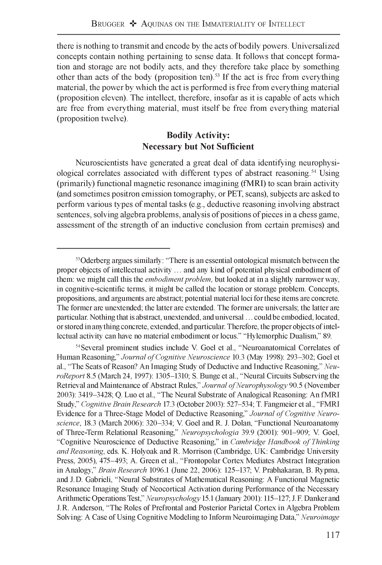there is nothing to transmit and encode by the acts of bodily powers. Universalized concepts contain nothing pertaining to sense data. It follows that concept formation and storage are not bodily acts, and they therefore take place by something other than acts of the body (proposition ten).<sup>53</sup> If the act is free from everything material, the power by which the act is performed is free from everything material (proposition eleven). The intellect, therefore, insofar as it is capable of acts which are free from everything material, must itself be free from everything material (proposition twelve).

## **Bodily Activity: Necessary but Not Sufficient**

Neuroscientists have generated a great deal of data identifying neurophysiological correlates associated with different types of abstract reasoning.<sup>54</sup> Using (primarily) functional magnetic resonance imagining (fMRI) to scan brain activity (and sometimes positron emission tomography, or PET, scans), subjects are asked to perform various types of mental tasks (e.g., deductive reasoning involving abstract sentences, solving algebra problems, analysis of positions of pieces in a chess game, assessment of the strength of an inductive conclusion from certain premises) and

<sup>53</sup> Oderberg argues similarly: "There is an essential ontological mismatch between the proper objects of intellectual activity . . . and any kind of potential physical embodiment of them: we might call this the *embodiment problem,* but looked at in a slightly narrower way, in cognitive-scientific terms, it might be called the location or storage problem. Concepts, propositions, and arguments are abstract; potential material loci for these items are concrete. The former are unextended; the latter are extended. The former are universals; the latter are particular. Nothing that is abstract, unextended, and universal . . . could be embodied, located, or stored in anything concrete, extended, and particular. Therefore, the proper objects of intellectual activity can have no material embodiment or locus." "Hylemorphic Dualism," 89.

<sup>54</sup> Several prominent studies include V. Goel et al., "Neuroanatomical Correlates of Human Reasoning," *Journal of Cognitive Neuroscience* 10.3 (May 1998): 293-302; Goel et al., "The Seats of Reason? An Imaging Study of Deductive and Inductive Reasoning," *NeuroReport* 8.5 (March 24, 1997): 1305-1310; S. Bunge et al., "Neural Circuits Subserving the Retrieval and Maintenance of Abstract Rules," *Journal of Neurophysology* 90.5 (November 2003): 3419-3428; Q. Luo et al., "The Neural Substrate of Analogical Reasoning: An fMRI Study," *Cognitive Brain Research* 17.3 (October 2003): 527-534; T. Fangmeier et al., "FMRI Evidence for a Three-Stage Model of Deductive Reasoning," Journal of Cognitive Neuro*science,* 18.3 (March 2006): 320-334; V. Goel and R. J. Dolan, "Functional Neuroanatomy of Three-Term Relational Reasoning," *Neuropsychologia* 39.9 (2001): 901-909; V Goel, "Cognitive Neuroscience of Deductive Reasoning," in *Cambridge Handbook o f Thinking and Reasoning,* eds. K. Holyoak and R. Morrison (Cambridge, UK: Cambridge University Press, 2005), 475-493; A. Green et al., "Frontopolar Cortex Mediates Abstract Integration in Analogy," *Brain Research* 1096.1 (June 22, 2006): 125-137; V Prabhakaran, B. Rypma, and J. D. Gabrieli, "Neural Substrates of Mathematical Reasoning: A Functional Magnetic Resonance Imaging Study of Neocortical Activation during Performance of the Necessary Arithmetic Operations Test," *Neuropsychology* 15.1 (January 2001): 115-127; J. F. Danker and J. R. Anderson, "The Roles of Prefrontal and Posterior Parietal Cortex in Algebra Problem Solving: A Case of Using Cognitive Modeling to Inform Neuroimaging Data," *Neuroimage*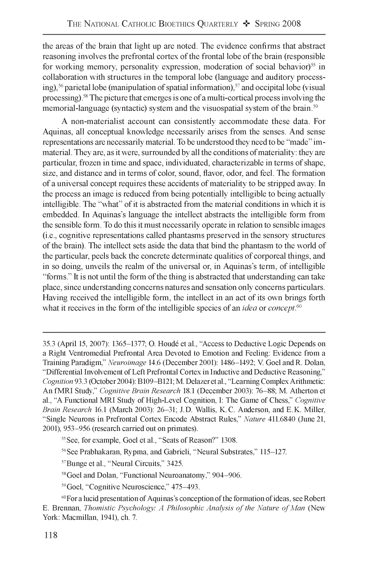the areas of the brain that light up are noted. The evidence confirms that abstract reasoning involves the prefrontal cortex of the frontal lobe of the brain (responsible for working memory, personality expression, moderation of social behavior)<sup>55</sup> in collaboration with structures in the temporal lobe (language and auditory processing),<sup>56</sup> parietal lobe (manipulation of spatial information),<sup>57</sup> and occipital lobe (visual processing).58 The picture that emerges is one of a multi-cortical process involving the memorial-language (syntactic) system and the visuospatial system of the brain.<sup>59</sup>

A non-materialist account can consistently accommodate these data. For Aquinas, all conceptual knowledge necessarily arises from the senses. And sense representations are necessarily material. To be understood they need to be "made" immaterial. They are, as it were, surrounded by all the conditions of materiality: they are particular, frozen in time and space, individuated, characterizable in terms of shape, size, and distance and in terms of color, sound, flavor, odor, and feel. The formation of a universal concept requires these accidents of materiality to be stripped away. In the process an image is reduced from being potentially intelligible to being actually intelligible. The "what" of it is abstracted from the material conditions in which it is embedded. In Aquinas's language the intellect abstracts the intelligible form from the sensible form. To do this it must necessarily operate in relation to sensible images (i.e., cognitive representations called phantasms preserved in the sensory structures of the brain). The intellect sets aside the data that bind the phantasm to the world of the particular, peels back the concrete determinate qualities of corporeal things, and in so doing, unveils the realm of the universal or, in Aquinas's term, of intelligible "forms." It is not until the form of the thing is abstracted that understanding can take place, since understanding concerns natures and sensation only concerns particulars. Having received the intelligible form, the intellect in an act of its own brings forth what it receives in the form of the intelligible species of an *idea* or *concept*.<sup>60</sup>

<sup>35.3 (</sup>April 15, 2007): 1365-1377; O. Houde et al., "Access to Deductive Logic Depends on a Right Ventromedial Prefrontal Area Devoted to Emotion and Feeling: Evidence from a Training Paradigm," *Neuroimage* 14.6 (December 2001): 1486-1492; V. Goel and R. Dolan, "Differential Involvement of Left Prefrontal Cortex in Inductive and Deductive Reasoning," *Cognition* 93.3 (October 2004): B109-B121; M. Delazer et al., "Learning Complex Arithmetic: An fMRI Study," *Cognitive Brain Research* 18.1 (December 2003): 76-88; M. Atherton et al., "A Functional MRI Study of High-Level Cognition, I: The Game of Chess," *Cognitive Brain Research* 16.1 (March 2003): 26-31; J. D. Wallis, K. C. Anderson, and E. K. Miller, "Single Neurons in Prefrontal Cortex Encode Abstract Rules," *Nature* 411.6840 (June 21, 2001), 953-956 (research carried out on primates).

<sup>55</sup> See, for example, Goel et al., "Seats of Reason?" 1308.

<sup>56</sup> See Prabhakaran, Rypma, and Gabrieli, "Neural Substrates," 115-127.

<sup>57</sup> Bunge et al., "Neural Circuits," 3425.

<sup>58</sup> Goel and Dolan, "Functional Neuroanatomy," 904-906.

<sup>59</sup> Goel, "Cognitive Neuroscience," 475-493.

<sup>60</sup> For a lucid presentation of Aquinas's conception of the formation of ideas, see Robert E. Brennan, *Thomistic Psychology: A Philosophic Analysis of the Nature of Man* (New York: Macmillan, 1941), ch. 7.